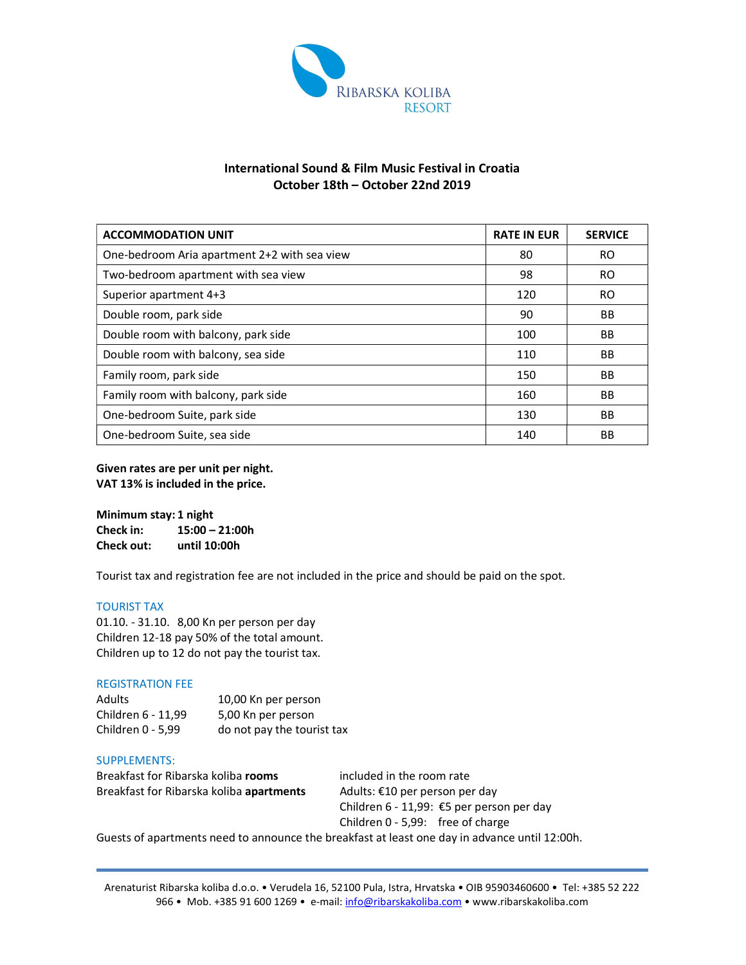

# International Sound & Film Music Festival in Croatia October 18th – October 22nd 2019

| <b>ACCOMMODATION UNIT</b>                    | <b>RATE IN EUR</b> | <b>SERVICE</b> |
|----------------------------------------------|--------------------|----------------|
| One-bedroom Aria apartment 2+2 with sea view | 80                 | <b>RO</b>      |
| Two-bedroom apartment with sea view          | 98                 | RO.            |
| Superior apartment 4+3                       | 120                | RO.            |
| Double room, park side                       | 90                 | <b>BB</b>      |
| Double room with balcony, park side          | 100                | <b>BB</b>      |
| Double room with balcony, sea side           | 110                | <b>BB</b>      |
| Family room, park side                       | 150                | BB.            |
| Family room with balcony, park side          | 160                | <b>BB</b>      |
| One-bedroom Suite, park side                 | 130                | <b>BB</b>      |
| One-bedroom Suite, sea side                  | 140                | BB             |

Given rates are per unit per night. VAT 13% is included in the price.

| Minimum stay: 1 night |                  |  |
|-----------------------|------------------|--|
| Check in:             | $15:00 - 21:00h$ |  |
| <b>Check out:</b>     | until 10:00h     |  |

Tourist tax and registration fee are not included in the price and should be paid on the spot.

# TOURIST TAX

01.10. - 31.10. 8,00 Kn per person per day Children 12-18 pay 50% of the total amount. Children up to 12 do not pay the tourist tax.

### REGISTRATION FEE

| Adults             | 10,00 Kn per person        |
|--------------------|----------------------------|
| Children 6 - 11.99 | 5,00 Kn per person         |
| Children 0 - 5,99  | do not pay the tourist tax |

#### SUPPLEMENTS:

Breakfast for Ribarska koliba rooms included in the room rate Breakfast for Ribarska koliba apartments Adults: €10 per person per day

Children 6 - 11,99: €5 per person per day Children 0 - 5,99: free of charge

Guests of apartments need to announce the breakfast at least one day in advance until 12:00h.